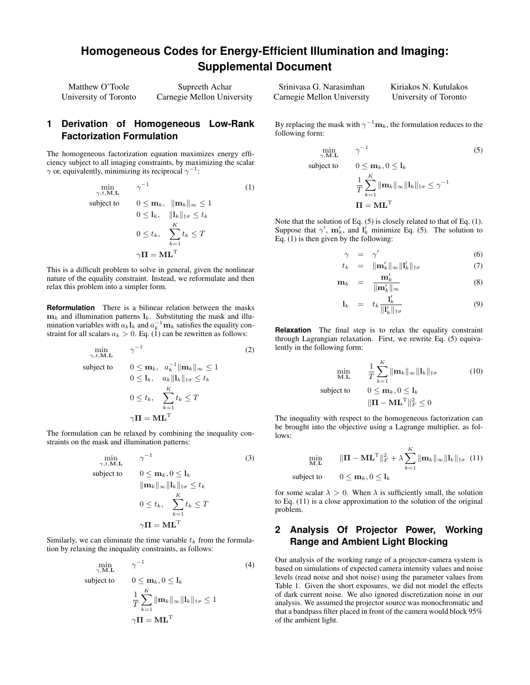# **Homogeneous Codes for Energy-Efficient Illumination and Imaging: Supplemental Document**

| Matthew O'Toole       | Supreeth Achar             |  |
|-----------------------|----------------------------|--|
| University of Toronto | Carnegie Mellon University |  |

## **1 Derivation of Homogeneous Low-Rank Factorization Formulation**

The homogeneous factorization equation maximizes energy efficiency subject to all imaging constraints, by maximizing the scalar  $\gamma$  or, equivalently, minimizing its reciprocal  $\gamma^{-1}$ :

<span id="page-0-0"></span>
$$
\min_{\gamma, t, \mathbf{M}, \mathbf{L}} \quad \gamma^{-1} \tag{1}
$$
\n
$$
\text{subject to} \quad 0 \le \mathbf{m}_k, \quad \|\mathbf{m}_k\|_{\infty} \le 1
$$
\n
$$
0 \le l_k, \quad \|\mathbf{l}_k\|_{\dagger \sigma} \le t_k
$$
\n
$$
0 \le t_k, \quad \sum_{k=1}^K t_k \le T
$$
\n
$$
\gamma \mathbf{\Pi} = \mathbf{M} \mathbf{L}^{\mathrm{T}}
$$

This is a difficult problem to solve in general, given the nonlinear nature of the equality constraint. Instead, we reformulate and then relax this problem into a simpler form.

**Reformulation** There is a bilinear relation between the masks  $\mathbf{m}_k$  and illumination patterns  $\mathbf{l}_k$ . Substituting the mask and illumination variables with  $a_k \mathbf{l}_k$  and  $a_k^{-1} \mathbf{m}_k$  satisfies the equality constraint for all scalars  $a_k > 0$ . Eq. [\(1\)](#page-0-0) can be rewritten as follows:

$$
\min_{\gamma, t, \mathbf{M}, \mathbf{L}} \qquad \gamma^{-1} \tag{2}
$$
\n
$$
\text{subject to} \qquad 0 \le \mathbf{m}_k, \quad a_k^{-1} \|\mathbf{m}_k\|_{\infty} \le 1
$$
\n
$$
0 \le \mathbf{l}_k, \quad a_k \|\mathbf{l}_k\|_{\dagger \sigma} \le t_k
$$
\n
$$
0 \le t_k, \quad \sum_{k=1}^K t_k \le T
$$
\n
$$
\gamma \mathbf{\Pi} = \mathbf{M} \mathbf{L}^{\mathrm{T}}
$$

The formulation can be relaxed by combining the inequality constraints on the mask and illumination patterns:

$$
\min_{\gamma, t, \mathbf{M}, \mathbf{L}} \quad \gamma^{-1} \tag{3}
$$
\n
$$
\text{subject to} \quad 0 \le \mathbf{m}_k, 0 \le \mathbf{l}_k
$$
\n
$$
\|\mathbf{m}_k\|_{\infty} \|\mathbf{l}_k\|_{\dagger \sigma} \le t_k
$$
\n
$$
0 \le t_k, \quad \sum_{k=1}^K t_k \le T
$$
\n
$$
\gamma \mathbf{\Pi} = \mathbf{M} \mathbf{L}^{\mathrm{T}}
$$

Similarly, we can eliminate the time variable  $t_k$  from the formulation by relaxing the inequality constraints, as follows:

$$
\min_{\gamma, \mathbf{M}, \mathbf{L}} \gamma^{-1} \tag{4}
$$
\n
$$
\text{subject to} \quad 0 \le \mathbf{m}_k, 0 \le \mathbf{l}_k
$$
\n
$$
\frac{1}{T} \sum_{k=1}^K \|\mathbf{m}_k\|_{\infty} \|\mathbf{l}_k\|_{\dagger \sigma} \le 1
$$
\n
$$
\gamma \mathbf{\Pi} = \mathbf{M} \mathbf{L}^{\mathrm{T}}
$$

Srinivasa G. Narasimhan Carnegie Mellon University Kiriakos N. Kutulakos University of Toronto

By replacing the mask with  $\gamma^{-1} \mathbf{m}_k$ , the formulation reduces to the following form:

<span id="page-0-1"></span>
$$
\min_{\gamma, \mathbf{M}, \mathbf{L}} \gamma^{-1}
$$
\n(5)

\nsubject to

\n
$$
0 \leq \mathbf{m}_k, 0 \leq \mathbf{l}_k
$$
\n
$$
\frac{1}{T} \sum_{k=1}^K \|\mathbf{m}_k\|_{\infty} \|\mathbf{l}_k\|_{\dagger \sigma} \leq \gamma^{-1}
$$
\n
$$
\mathbf{\Pi} = \mathbf{M} \mathbf{L}^{\mathrm{T}}
$$

Note that the solution of Eq. [\(5\)](#page-0-1) is closely related to that of Eq. [\(1\)](#page-0-0). Suppose that  $\gamma'$ ,  $m'_k$ , and  $l'_k$  minimize Eq. [\(5\)](#page-0-1). The solution to Eq. [\(1\)](#page-0-0) is then given by the following:

$$
\gamma = \gamma' \tag{6}
$$

$$
t = \|\mathbf{m'}\| \|\mathbf{l}\|' \tag{7}
$$

$$
t_k = \|\mathbf{m}'_k\|_{\infty} \| \mathbf{l}'_k \|_{\dagger \sigma} \tag{7}
$$

$$
\mathbf{m}'_k
$$

$$
\mathbf{m}_k = \frac{\mathbf{m}_k}{\|\mathbf{m}'_k\|_{\infty}} \tag{8}
$$

$$
l_k = t_k \frac{l'_k}{\|l'_k\|_{\dagger \sigma}} \tag{9}
$$

**Relaxation** The final step is to relax the equality constraint through Lagrangian relaxation. First, we rewrite Eq. [\(5\)](#page-0-1) equivalently in the following form:

$$
\min_{\mathbf{M}, \mathbf{L}} \qquad \frac{1}{T} \sum_{k=1}^{K} ||\mathbf{m}_{k}||_{\infty} ||\mathbf{l}_{k}||_{\dagger \sigma} \tag{10}
$$
\n
$$
\text{subject to} \qquad 0 \le \mathbf{m}_{k}, 0 \le \mathbf{l}_{k}
$$
\n
$$
||\mathbf{\Pi} - \mathbf{M} \mathbf{L}^{\mathrm{T}}||_{F}^{2} \le 0
$$

The inequality with respect to the homogeneous factorization can be brought into the objective using a Lagrange multiplier, as follows:

<span id="page-0-2"></span>
$$
\min_{\mathbf{M}, \mathbf{L}} \qquad \|\mathbf{\Pi} - \mathbf{M} \mathbf{L}^{\mathrm{T}}\|_{F}^{2} + \lambda \sum_{k=1}^{K} \|\mathbf{m}_{k}\|_{\infty} \|\mathbf{l}_{k}\|_{\dagger \sigma} \tag{11}
$$
\n
$$
\text{subject to} \qquad 0 \leq \mathbf{m}_{k}, 0 \leq \mathbf{l}_{k}
$$

for some scalar  $\lambda > 0$ . When  $\lambda$  is sufficiently small, the solution to Eq. [\(11\)](#page-0-2) is a close approximation to the solution of the original problem.

## **2 Analysis Of Projector Power, Working Range and Ambient Light Blocking**

Our analysis of the working range of a projector-camera system is based on simulations of expected camera intensity values and noise levels (read noise and shot noise) using the parameter values from Table [1.](#page-1-0) Given the short exposures, we did not model the effects of dark current noise. We also ignored discretization noise in our analysis. We assumed the projector source was monochromatic and that a bandpass filter placed in front of the camera would block 95% of the ambient light.